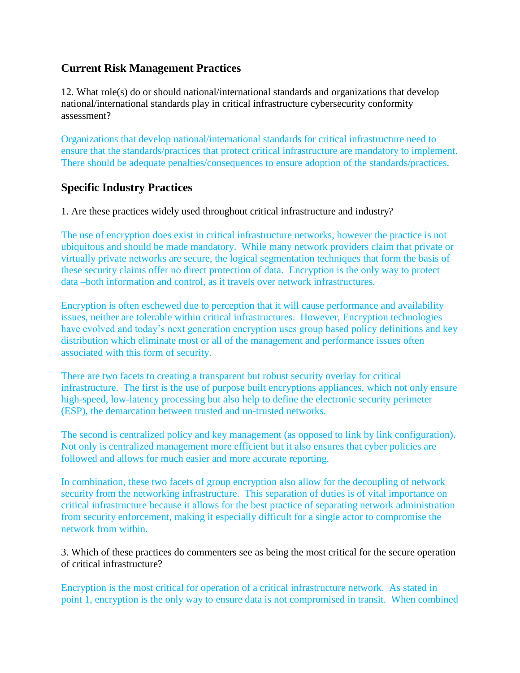## **Current Risk Management Practices**

12. What role(s) do or should national/international standards and organizations that develop national/international standards play in critical infrastructure cybersecurity conformity assessment?

Organizations that develop national/international standards for critical infrastructure need to ensure that the standards/practices that protect critical infrastructure are mandatory to implement. There should be adequate penalties/consequences to ensure adoption of the standards/practices.

## **Specific Industry Practices**

1. Are these practices widely used throughout critical infrastructure and industry?

The use of encryption does exist in critical infrastructure networks, however the practice is not ubiquitous and should be made mandatory. While many network providers claim that private or virtually private networks are secure, the logical segmentation techniques that form the basis of these security claims offer no direct protection of data. Encryption is the only way to protect data –both information and control, as it travels over network infrastructures.

Encryption is often eschewed due to perception that it will cause performance and availability issues, neither are tolerable within critical infrastructures. However, Encryption technologies have evolved and today's next generation encryption uses group based policy definitions and key distribution which eliminate most or all of the management and performance issues often associated with this form of security.

There are two facets to creating a transparent but robust security overlay for critical infrastructure. The first is the use of purpose built encryptions appliances, which not only ensure high-speed, low-latency processing but also help to define the electronic security perimeter (ESP), the demarcation between trusted and un-trusted networks.

The second is centralized policy and key management (as opposed to link by link configuration). Not only is centralized management more efficient but it also ensures that cyber policies are followed and allows for much easier and more accurate reporting.

In combination, these two facets of group encryption also allow for the decoupling of network security from the networking infrastructure. This separation of duties is of vital importance on critical infrastructure because it allows for the best practice of separating network administration from security enforcement, making it especially difficult for a single actor to compromise the network from within.

3. Which of these practices do commenters see as being the most critical for the secure operation of critical infrastructure?

Encryption is the most critical for operation of a critical infrastructure network. As stated in point 1, encryption is the only way to ensure data is not compromised in transit. When combined